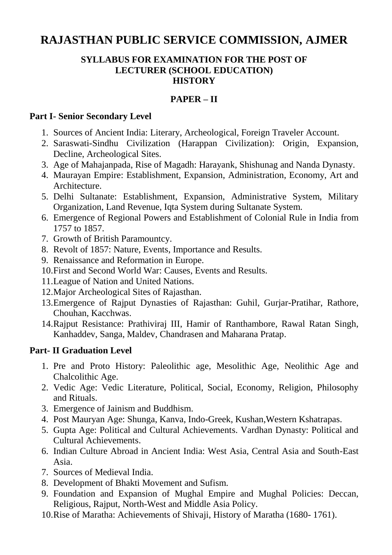# **RAJASTHAN PUBLIC SERVICE COMMISSION, AJMER**

#### **SYLLABUS FOR EXAMINATION FOR THE POST OF LECTURER (SCHOOL EDUCATION) HISTORY**

# **PAPER – II**

### **Part I- Senior Secondary Level**

- 1. Sources of Ancient India: Literary, Archeological, Foreign Traveler Account.
- 2. Saraswati-Sindhu Civilization (Harappan Civilization): Origin, Expansion, Decline, Archeological Sites.
- 3. Age of Mahajanpada, Rise of Magadh: Harayank, Shishunag and Nanda Dynasty.
- 4. Maurayan Empire: Establishment, Expansion, Administration, Economy, Art and Architecture.
- 5. Delhi Sultanate: Establishment, Expansion, Administrative System, Military Organization, Land Revenue, Iqta System during Sultanate System.
- 6. Emergence of Regional Powers and Establishment of Colonial Rule in India from 1757 to 1857.
- 7. Growth of British Paramountcy.
- 8. Revolt of 1857: Nature, Events, Importance and Results.
- 9. Renaissance and Reformation in Europe.
- 10.First and Second World War: Causes, Events and Results.
- 11.League of Nation and United Nations.
- 12.Major Archeological Sites of Rajasthan.
- 13.Emergence of Rajput Dynasties of Rajasthan: Guhil, Gurjar-Pratihar, Rathore, Chouhan, Kacchwas.
- 14.Rajput Resistance: Prathiviraj III, Hamir of Ranthambore, Rawal Ratan Singh, Kanhaddev, Sanga, Maldev, Chandrasen and Maharana Pratap.

## **Part- II Graduation Level**

- 1. Pre and Proto History: Paleolithic age, Mesolithic Age, Neolithic Age and Chalcolithic Age.
- 2. Vedic Age: Vedic Literature, Political, Social, Economy, Religion, Philosophy and Rituals.
- 3. Emergence of Jainism and Buddhism.
- 4. Post Mauryan Age: Shunga, Kanva, Indo-Greek, Kushan,Western Kshatrapas.
- 5. Gupta Age: Political and Cultural Achievements. Vardhan Dynasty: Political and Cultural Achievements.
- 6. Indian Culture Abroad in Ancient India: West Asia, Central Asia and South-East Asia.
- 7. Sources of Medieval India.
- 8. Development of Bhakti Movement and Sufism.
- 9. Foundation and Expansion of Mughal Empire and Mughal Policies: Deccan, Religious, Rajput, North-West and Middle Asia Policy.
- 10.Rise of Maratha: Achievements of Shivaji, History of Maratha (1680- 1761).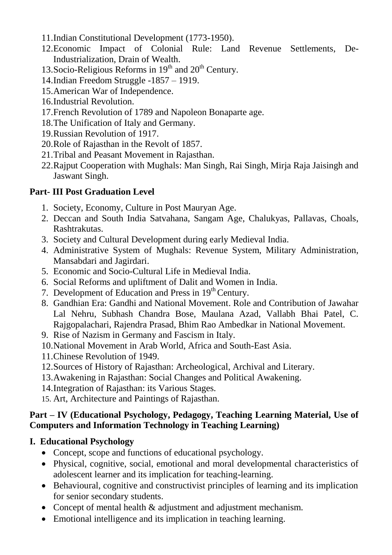- 11.Indian Constitutional Development (1773-1950).
- 12.Economic Impact of Colonial Rule: Land Revenue Settlements, De-Industrialization, Drain of Wealth.
- 13. Socio-Religious Reforms in  $19<sup>th</sup>$  and  $20<sup>th</sup>$  Century.
- 14.Indian Freedom Struggle -1857 1919.
- 15.American War of Independence.
- 16.Industrial Revolution.
- 17.French Revolution of 1789 and Napoleon Bonaparte age.
- 18.The Unification of Italy and Germany.
- 19.Russian Revolution of 1917.
- 20.Role of Rajasthan in the Revolt of 1857.
- 21.Tribal and Peasant Movement in Rajasthan.
- 22.Rajput Cooperation with Mughals: Man Singh, Rai Singh, Mirja Raja Jaisingh and Jaswant Singh.

# **Part- III Post Graduation Level**

- 1. Society, Economy, Culture in Post Mauryan Age.
- 2. Deccan and South India Satvahana, Sangam Age, Chalukyas, Pallavas, Choals, Rashtrakutas.
- 3. Society and Cultural Development during early Medieval India.
- 4. Administrative System of Mughals: Revenue System, Military Administration, Mansabdari and Jagirdari.
- 5. Economic and Socio-Cultural Life in Medieval India.
- 6. Social Reforms and upliftment of Dalit and Women in India.
- 7. Development of Education and Press in 19<sup>th</sup> Century.
- 8. Gandhian Era: Gandhi and National Movement. Role and Contribution of Jawahar Lal Nehru, Subhash Chandra Bose, Maulana Azad, Vallabh Bhai Patel, C. Rajgopalachari, Rajendra Prasad, Bhim Rao Ambedkar in National Movement.
- 9. Rise of Nazism in Germany and Fascism in Italy.
- 10.National Movement in Arab World, Africa and South-East Asia.
- 11.Chinese Revolution of 1949.
- 12.Sources of History of Rajasthan: Archeological, Archival and Literary.
- 13.Awakening in Rajasthan: Social Changes and Political Awakening.
- 14.Integration of Rajasthan: its Various Stages.
- 15. Art, Architecture and Paintings of Rajasthan.

# **Part – IV (Educational Psychology, Pedagogy, Teaching Learning Material, Use of Computers and Information Technology in Teaching Learning)**

# **I. Educational Psychology**

- Concept, scope and functions of educational psychology.
- Physical, cognitive, social, emotional and moral developmental characteristics of adolescent learner and its implication for teaching-learning.
- Behavioural, cognitive and constructivist principles of learning and its implication for senior secondary students.
- Concept of mental health & adjustment and adjustment mechanism.
- Emotional intelligence and its implication in teaching learning.